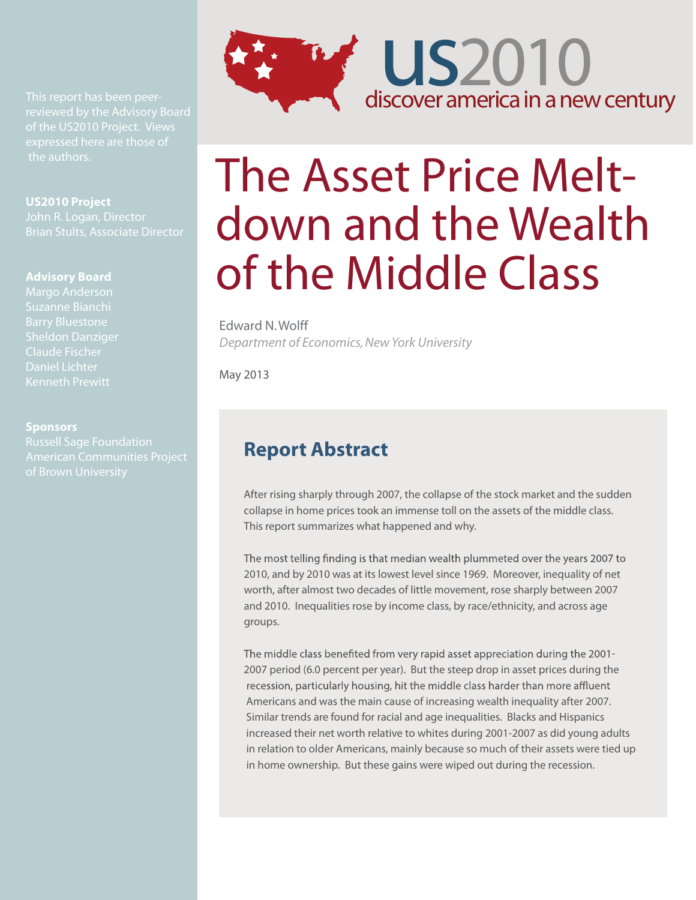reviewed by the Advisory Board

**US2010 Project** John R. Logan, Director Brian Stults, Associate Director

#### **Advisory Board**

Margo Anderson Suzanne Bianchi Barry Bluestone Claude Fischer Daniel Lichter

#### **Sponsors**

Russell Sage Foundation American Communities Project



# The Asset Price Meltdown and the Wealth of the Middle Class

Edward N.Wolff *Department of Economics, New York University*

May 2013

# **Report Abstract**

After rising sharply through 2007, the collapse of the stock market and the sudden collapse in home prices took an immense toll on the assets of the middle class. This report summarizes what happened and why.

The most telling finding is that median wealth plummeted over the years 2007 to 2010, and by 2010 was at its lowest level since 1969. Moreover, inequality of net worth, after almost two decades of little movement, rose sharply between 2007 and 2010. Inequalities rose by income class, by race/ethnicity, and across age groups.

The middle class benefited from very rapid asset appreciation during the 2001-2007 period (6.0 percent per year). But the steep drop in asset prices during the recession, particularly housing, hit the middle class harder than more affluent Americans and was the main cause of increasing wealth inequality after 2007. Similar trends are found for racial and age inequalities. Blacks and Hispanics increased their net worth relative to whites during 2001-2007 as did young adults in relation to older Americans, mainly because so much of their assets were tied up in home ownership. But these gains were wiped out during the recession.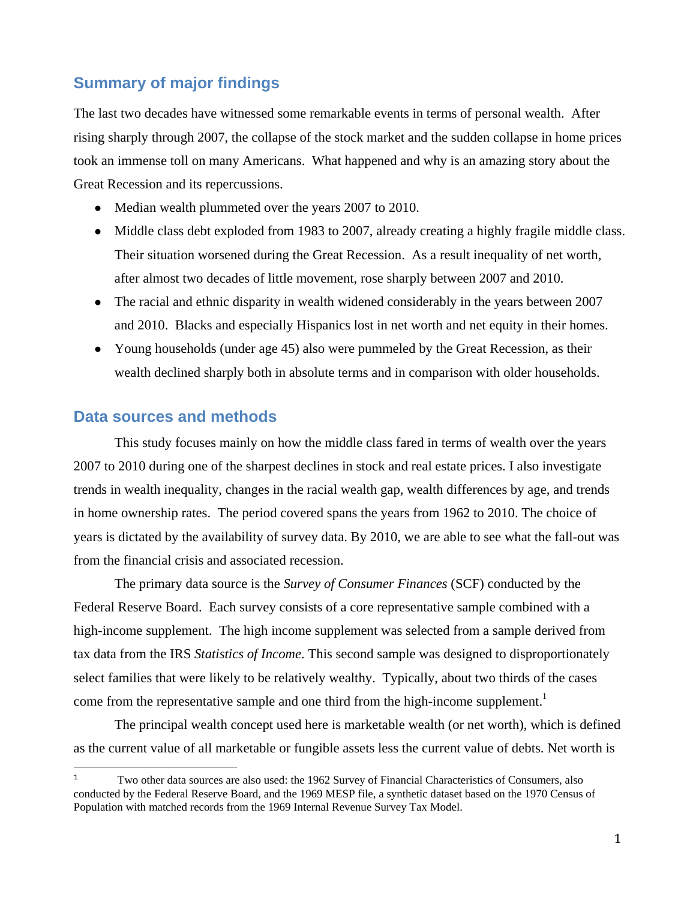# **Summary of major findings**

The last two decades have witnessed some remarkable events in terms of personal wealth. After rising sharply through 2007, the collapse of the stock market and the sudden collapse in home prices took an immense toll on many Americans. What happened and why is an amazing story about the Great Recession and its repercussions.

- Median wealth plummeted over the years 2007 to 2010.
- Middle class debt exploded from 1983 to 2007, already creating a highly fragile middle class. Their situation worsened during the Great Recession. As a result inequality of net worth, after almost two decades of little movement, rose sharply between 2007 and 2010.
- The racial and ethnic disparity in wealth widened considerably in the years between 2007 and 2010. Blacks and especially Hispanics lost in net worth and net equity in their homes.
- Young households (under age 45) also were pummeled by the Great Recession, as their wealth declined sharply both in absolute terms and in comparison with older households.

### **Data sources and methods**

 

This study focuses mainly on how the middle class fared in terms of wealth over the years 2007 to 2010 during one of the sharpest declines in stock and real estate prices. I also investigate trends in wealth inequality, changes in the racial wealth gap, wealth differences by age, and trends in home ownership rates. The period covered spans the years from 1962 to 2010. The choice of years is dictated by the availability of survey data. By 2010, we are able to see what the fall-out was from the financial crisis and associated recession.

The primary data source is the *Survey of Consumer Finances* (SCF) conducted by the Federal Reserve Board. Each survey consists of a core representative sample combined with a high-income supplement. The high income supplement was selected from a sample derived from tax data from the IRS *Statistics of Income*. This second sample was designed to disproportionately select families that were likely to be relatively wealthy. Typically, about two thirds of the cases come from the representative sample and one third from the high-income supplement.<sup>1</sup>

 The principal wealth concept used here is marketable wealth (or net worth), which is defined as the current value of all marketable or fungible assets less the current value of debts. Net worth is

<sup>1</sup> Two other data sources are also used: the 1962 Survey of Financial Characteristics of Consumers, also conducted by the Federal Reserve Board, and the 1969 MESP file, a synthetic dataset based on the 1970 Census of Population with matched records from the 1969 Internal Revenue Survey Tax Model.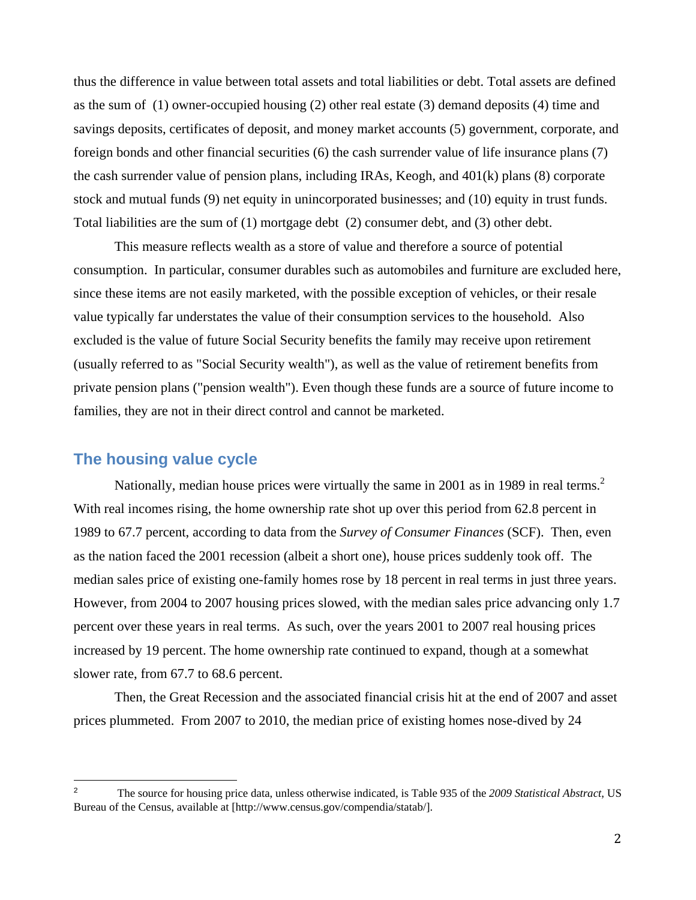thus the difference in value between total assets and total liabilities or debt. Total assets are defined as the sum of (1) owner-occupied housing (2) other real estate (3) demand deposits (4) time and savings deposits, certificates of deposit, and money market accounts (5) government, corporate, and foreign bonds and other financial securities (6) the cash surrender value of life insurance plans (7) the cash surrender value of pension plans, including IRAs, Keogh, and 401(k) plans (8) corporate stock and mutual funds (9) net equity in unincorporated businesses; and (10) equity in trust funds. Total liabilities are the sum of (1) mortgage debt (2) consumer debt, and (3) other debt.

 This measure reflects wealth as a store of value and therefore a source of potential consumption. In particular, consumer durables such as automobiles and furniture are excluded here, since these items are not easily marketed, with the possible exception of vehicles, or their resale value typically far understates the value of their consumption services to the household. Also excluded is the value of future Social Security benefits the family may receive upon retirement (usually referred to as "Social Security wealth"), as well as the value of retirement benefits from private pension plans ("pension wealth"). Even though these funds are a source of future income to families, they are not in their direct control and cannot be marketed.

#### **The housing value cycle**

 

Nationally, median house prices were virtually the same in 2001 as in 1989 in real terms.<sup>2</sup> With real incomes rising, the home ownership rate shot up over this period from 62.8 percent in 1989 to 67.7 percent, according to data from the *Survey of Consumer Finances* (SCF). Then, even as the nation faced the 2001 recession (albeit a short one), house prices suddenly took off. The median sales price of existing one-family homes rose by 18 percent in real terms in just three years. However, from 2004 to 2007 housing prices slowed, with the median sales price advancing only 1.7 percent over these years in real terms. As such, over the years 2001 to 2007 real housing prices increased by 19 percent. The home ownership rate continued to expand, though at a somewhat slower rate, from 67.7 to 68.6 percent.

 Then, the Great Recession and the associated financial crisis hit at the end of 2007 and asset prices plummeted. From 2007 to 2010, the median price of existing homes nose-dived by 24

<sup>2</sup> The source for housing price data, unless otherwise indicated, is Table 935 of the *2009 Statistical Abstract*, US Bureau of the Census, available at [http://www.census.gov/compendia/statab/].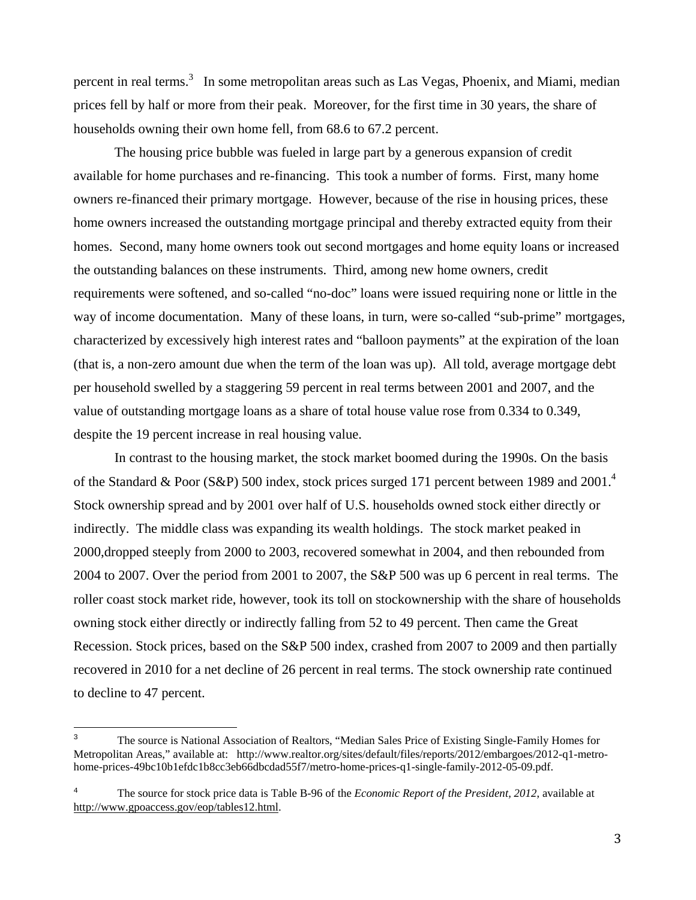percent in real terms.<sup>3</sup> In some metropolitan areas such as Las Vegas, Phoenix, and Miami, median prices fell by half or more from their peak. Moreover, for the first time in 30 years, the share of households owning their own home fell, from 68.6 to 67.2 percent.

 The housing price bubble was fueled in large part by a generous expansion of credit available for home purchases and re-financing. This took a number of forms. First, many home owners re-financed their primary mortgage. However, because of the rise in housing prices, these home owners increased the outstanding mortgage principal and thereby extracted equity from their homes. Second, many home owners took out second mortgages and home equity loans or increased the outstanding balances on these instruments. Third, among new home owners, credit requirements were softened, and so-called "no-doc" loans were issued requiring none or little in the way of income documentation. Many of these loans, in turn, were so-called "sub-prime" mortgages, characterized by excessively high interest rates and "balloon payments" at the expiration of the loan (that is, a non-zero amount due when the term of the loan was up). All told, average mortgage debt per household swelled by a staggering 59 percent in real terms between 2001 and 2007, and the value of outstanding mortgage loans as a share of total house value rose from 0.334 to 0.349, despite the 19 percent increase in real housing value.

In contrast to the housing market, the stock market boomed during the 1990s. On the basis of the Standard & Poor (S&P) 500 index, stock prices surged 171 percent between 1989 and 2001.<sup>4</sup> Stock ownership spread and by 2001 over half of U.S. households owned stock either directly or indirectly. The middle class was expanding its wealth holdings. The stock market peaked in 2000,dropped steeply from 2000 to 2003, recovered somewhat in 2004, and then rebounded from 2004 to 2007. Over the period from 2001 to 2007, the S&P 500 was up 6 percent in real terms. The roller coast stock market ride, however, took its toll on stockownership with the share of households owning stock either directly or indirectly falling from 52 to 49 percent. Then came the Great Recession. Stock prices, based on the S&P 500 index, crashed from 2007 to 2009 and then partially recovered in 2010 for a net decline of 26 percent in real terms. The stock ownership rate continued to decline to 47 percent.

 

<sup>3</sup> The source is National Association of Realtors, "Median Sales Price of Existing Single-Family Homes for Metropolitan Areas," available at: http://www.realtor.org/sites/default/files/reports/2012/embargoes/2012-q1-metrohome-prices-49bc10b1efdc1b8cc3eb66dbcdad55f7/metro-home-prices-q1-single-family-2012-05-09.pdf.

<sup>4</sup> The source for stock price data is Table B-96 of the *Economic Report of the President, 2012*, available at http://www.gpoaccess.gov/eop/tables12.html.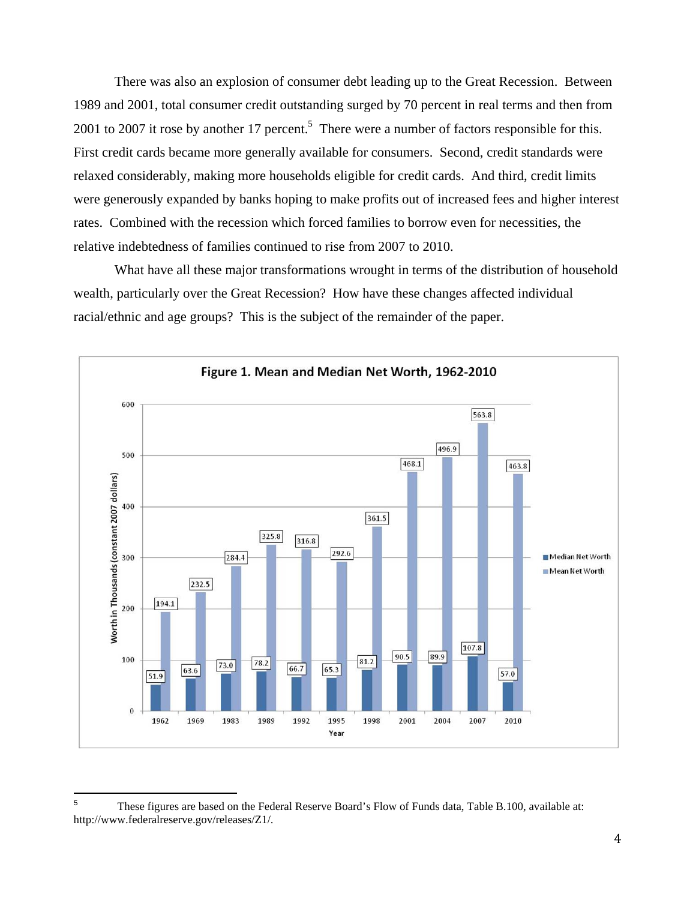There was also an explosion of consumer debt leading up to the Great Recession. Between 1989 and 2001, total consumer credit outstanding surged by 70 percent in real terms and then from 2001 to 2007 it rose by another 17 percent.<sup>5</sup> There were a number of factors responsible for this. First credit cards became more generally available for consumers. Second, credit standards were relaxed considerably, making more households eligible for credit cards. And third, credit limits were generously expanded by banks hoping to make profits out of increased fees and higher interest rates. Combined with the recession which forced families to borrow even for necessities, the relative indebtedness of families continued to rise from 2007 to 2010.

 What have all these major transformations wrought in terms of the distribution of household wealth, particularly over the Great Recession? How have these changes affected individual racial/ethnic and age groups? This is the subject of the remainder of the paper.



<sup>5</sup> These figures are based on the Federal Reserve Board's Flow of Funds data, Table B.100, available at: http://www.federalreserve.gov/releases/Z1/.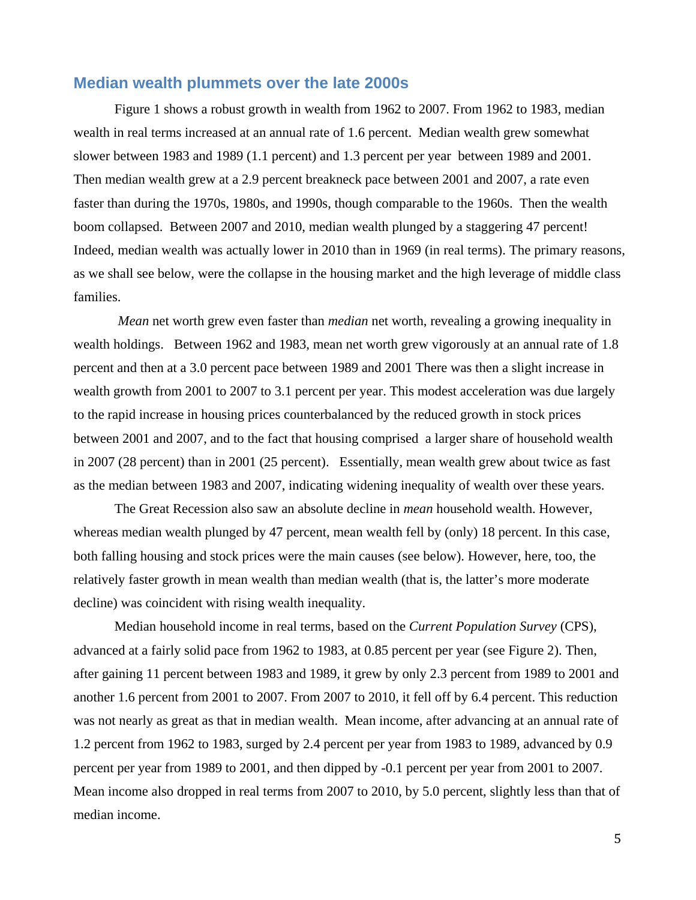#### **Median wealth plummets over the late 2000s**

 Figure 1 shows a robust growth in wealth from 1962 to 2007. From 1962 to 1983, median wealth in real terms increased at an annual rate of 1.6 percent. Median wealth grew somewhat slower between 1983 and 1989 (1.1 percent) and 1.3 percent per year between 1989 and 2001. Then median wealth grew at a 2.9 percent breakneck pace between 2001 and 2007, a rate even faster than during the 1970s, 1980s, and 1990s, though comparable to the 1960s. Then the wealth boom collapsed. Between 2007 and 2010, median wealth plunged by a staggering 47 percent! Indeed, median wealth was actually lower in 2010 than in 1969 (in real terms). The primary reasons, as we shall see below, were the collapse in the housing market and the high leverage of middle class families.

 *Mean* net worth grew even faster than *median* net worth, revealing a growing inequality in wealth holdings. Between 1962 and 1983, mean net worth grew vigorously at an annual rate of 1.8 percent and then at a 3.0 percent pace between 1989 and 2001 There was then a slight increase in wealth growth from 2001 to 2007 to 3.1 percent per year. This modest acceleration was due largely to the rapid increase in housing prices counterbalanced by the reduced growth in stock prices between 2001 and 2007, and to the fact that housing comprised a larger share of household wealth in 2007 (28 percent) than in 2001 (25 percent). Essentially, mean wealth grew about twice as fast as the median between 1983 and 2007, indicating widening inequality of wealth over these years.

 The Great Recession also saw an absolute decline in *mean* household wealth. However, whereas median wealth plunged by 47 percent, mean wealth fell by (only) 18 percent. In this case, both falling housing and stock prices were the main causes (see below). However, here, too, the relatively faster growth in mean wealth than median wealth (that is, the latter's more moderate decline) was coincident with rising wealth inequality.

 Median household income in real terms, based on the *Current Population Survey* (CPS), advanced at a fairly solid pace from 1962 to 1983, at 0.85 percent per year (see Figure 2). Then, after gaining 11 percent between 1983 and 1989, it grew by only 2.3 percent from 1989 to 2001 and another 1.6 percent from 2001 to 2007. From 2007 to 2010, it fell off by 6.4 percent. This reduction was not nearly as great as that in median wealth. Mean income, after advancing at an annual rate of 1.2 percent from 1962 to 1983, surged by 2.4 percent per year from 1983 to 1989, advanced by 0.9 percent per year from 1989 to 2001, and then dipped by -0.1 percent per year from 2001 to 2007. Mean income also dropped in real terms from 2007 to 2010, by 5.0 percent, slightly less than that of median income.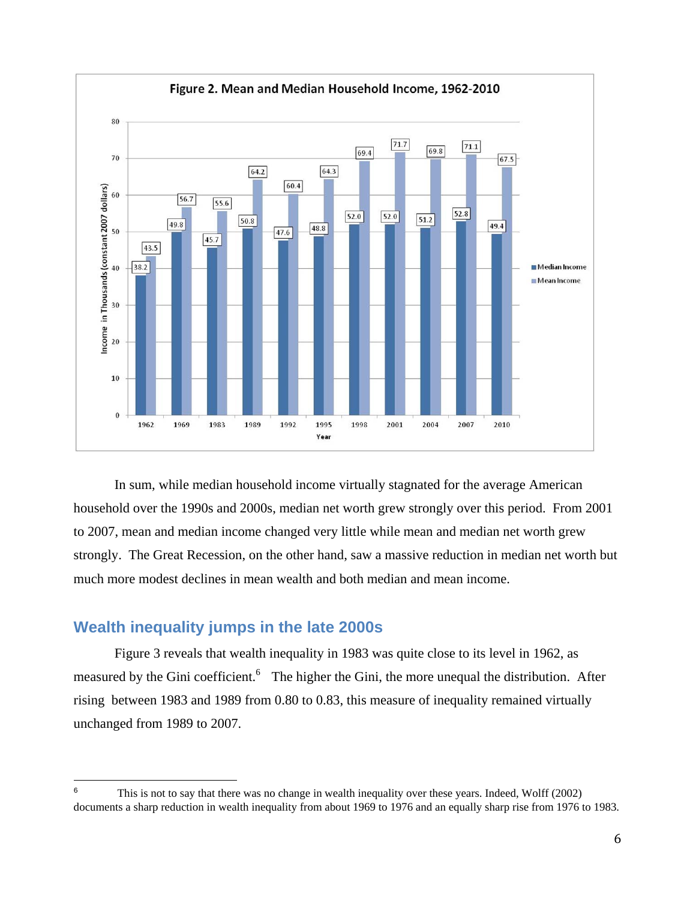

 In sum, while median household income virtually stagnated for the average American household over the 1990s and 2000s, median net worth grew strongly over this period. From 2001 to 2007, mean and median income changed very little while mean and median net worth grew strongly. The Great Recession, on the other hand, saw a massive reduction in median net worth but much more modest declines in mean wealth and both median and mean income.

# **Wealth inequality jumps in the late 2000s**

 

 Figure 3 reveals that wealth inequality in 1983 was quite close to its level in 1962, as measured by the Gini coefficient.<sup>6</sup> The higher the Gini, the more unequal the distribution. After rising between 1983 and 1989 from 0.80 to 0.83, this measure of inequality remained virtually unchanged from 1989 to 2007.

<sup>6</sup> This is not to say that there was no change in wealth inequality over these years. Indeed, Wolff (2002) documents a sharp reduction in wealth inequality from about 1969 to 1976 and an equally sharp rise from 1976 to 1983.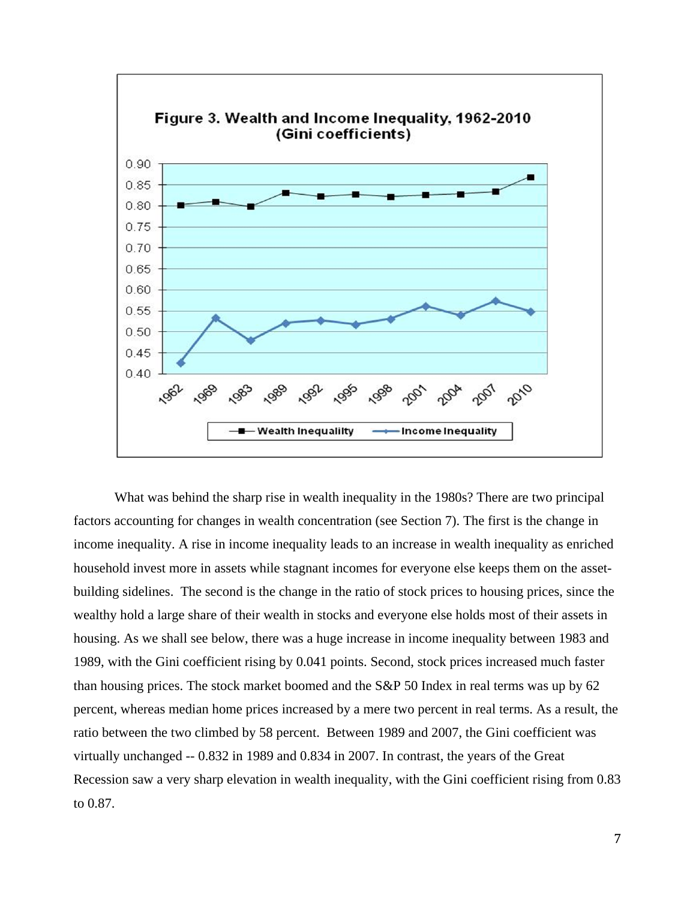

What was behind the sharp rise in wealth inequality in the 1980s? There are two principal factors accounting for changes in wealth concentration (see Section 7). The first is the change in income inequality. A rise in income inequality leads to an increase in wealth inequality as enriched household invest more in assets while stagnant incomes for everyone else keeps them on the assetbuilding sidelines. The second is the change in the ratio of stock prices to housing prices, since the wealthy hold a large share of their wealth in stocks and everyone else holds most of their assets in housing. As we shall see below, there was a huge increase in income inequality between 1983 and 1989, with the Gini coefficient rising by 0.041 points. Second, stock prices increased much faster than housing prices. The stock market boomed and the S&P 50 Index in real terms was up by 62 percent, whereas median home prices increased by a mere two percent in real terms. As a result, the ratio between the two climbed by 58 percent. Between 1989 and 2007, the Gini coefficient was virtually unchanged -- 0.832 in 1989 and 0.834 in 2007. In contrast, the years of the Great Recession saw a very sharp elevation in wealth inequality, with the Gini coefficient rising from 0.83 to 0.87.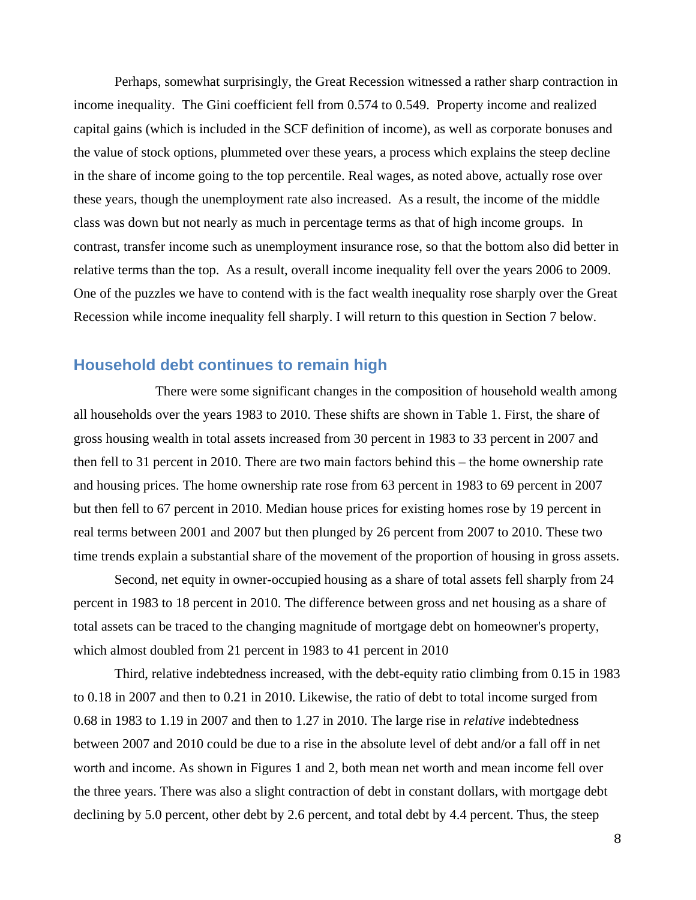Perhaps, somewhat surprisingly, the Great Recession witnessed a rather sharp contraction in income inequality. The Gini coefficient fell from 0.574 to 0.549. Property income and realized capital gains (which is included in the SCF definition of income), as well as corporate bonuses and the value of stock options, plummeted over these years, a process which explains the steep decline in the share of income going to the top percentile. Real wages, as noted above, actually rose over these years, though the unemployment rate also increased. As a result, the income of the middle class was down but not nearly as much in percentage terms as that of high income groups. In contrast, transfer income such as unemployment insurance rose, so that the bottom also did better in relative terms than the top. As a result, overall income inequality fell over the years 2006 to 2009. One of the puzzles we have to contend with is the fact wealth inequality rose sharply over the Great Recession while income inequality fell sharply. I will return to this question in Section 7 below.

#### **Household debt continues to remain high**

 There were some significant changes in the composition of household wealth among all households over the years 1983 to 2010. These shifts are shown in Table 1. First, the share of gross housing wealth in total assets increased from 30 percent in 1983 to 33 percent in 2007 and then fell to 31 percent in 2010. There are two main factors behind this – the home ownership rate and housing prices. The home ownership rate rose from 63 percent in 1983 to 69 percent in 2007 but then fell to 67 percent in 2010. Median house prices for existing homes rose by 19 percent in real terms between 2001 and 2007 but then plunged by 26 percent from 2007 to 2010. These two time trends explain a substantial share of the movement of the proportion of housing in gross assets.

Second, net equity in owner-occupied housing as a share of total assets fell sharply from 24 percent in 1983 to 18 percent in 2010. The difference between gross and net housing as a share of total assets can be traced to the changing magnitude of mortgage debt on homeowner's property, which almost doubled from 21 percent in 1983 to 41 percent in 2010

 Third, relative indebtedness increased, with the debt-equity ratio climbing from 0.15 in 1983 to 0.18 in 2007 and then to 0.21 in 2010. Likewise, the ratio of debt to total income surged from 0.68 in 1983 to 1.19 in 2007 and then to 1.27 in 2010. The large rise in *relative* indebtedness between 2007 and 2010 could be due to a rise in the absolute level of debt and/or a fall off in net worth and income. As shown in Figures 1 and 2, both mean net worth and mean income fell over the three years. There was also a slight contraction of debt in constant dollars, with mortgage debt declining by 5.0 percent, other debt by 2.6 percent, and total debt by 4.4 percent. Thus, the steep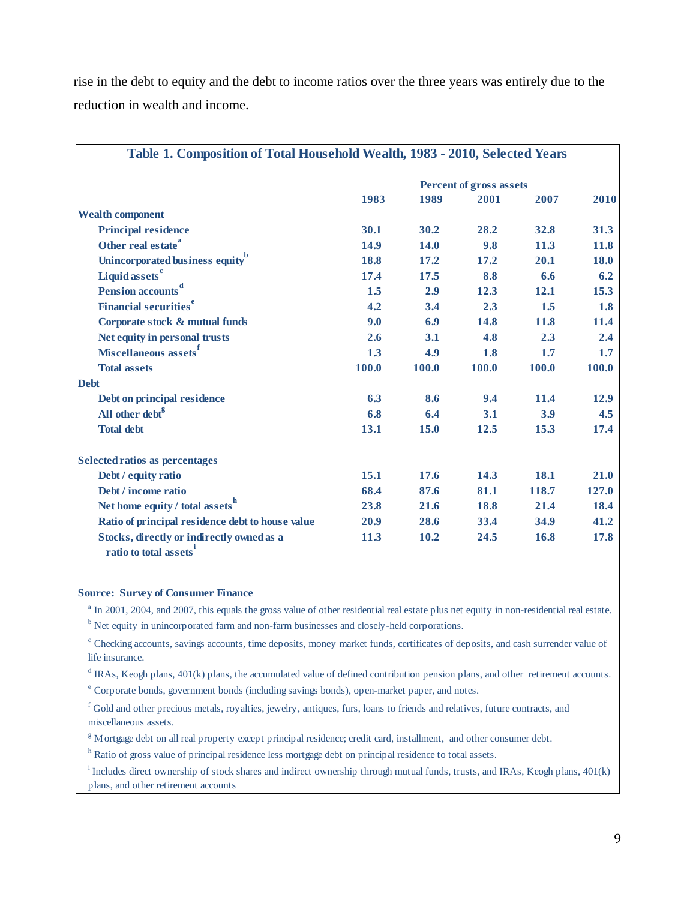rise in the debt to equity and the debt to income ratios over the three years was entirely due to the reduction in wealth and income.

|                                                                    | 1983  | 1989        | 2001  | 2007  | 2010  |
|--------------------------------------------------------------------|-------|-------------|-------|-------|-------|
| <b>Wealth component</b>                                            |       |             |       |       |       |
| <b>Principal residence</b>                                         | 30.1  | 30.2        | 28.2  | 32.8  | 31.3  |
| Other real estate <sup>a</sup>                                     | 14.9  | <b>14.0</b> | 9.8   | 11.3  | 11.8  |
| Unincorporated business equity <sup>b</sup>                        | 18.8  | 17.2        | 17.2  | 20.1  | 18.0  |
| Liquid assets <sup>c</sup>                                         | 17.4  | 17.5        | 8.8   | 6.6   | 6.2   |
| Pension accounts <sup>d</sup>                                      | 1.5   | 2.9         | 12.3  | 12.1  | 15.3  |
| <b>Financial securities<sup>e</sup></b>                            | 4.2   | 3.4         | 2.3   | 1.5   | 1.8   |
| Corporate stock & mutual funds                                     | 9.0   | 6.9         | 14.8  | 11.8  | 11.4  |
| Net equity in personal trusts                                      | 2.6   | 3.1         | 4.8   | 2.3   | 2.4   |
| Miscellaneous assets <sup>f</sup>                                  | 1.3   | 4.9         | 1.8   | 1.7   | 1.7   |
| <b>Total assets</b>                                                | 100.0 | 100.0       | 100.0 | 100.0 | 100.0 |
| <b>Debt</b>                                                        |       |             |       |       |       |
| Debt on principal residence                                        | 6.3   | 8.6         | 9.4   | 11.4  | 12.9  |
| All other debt <sup>g</sup>                                        | 6.8   | 6.4         | 3.1   | 3.9   | 4.5   |
| <b>Total debt</b>                                                  | 13.1  | 15.0        | 12.5  | 15.3  | 17.4  |
| <b>Selected ratios as percentages</b>                              |       |             |       |       |       |
| Debt / equity ratio                                                | 15.1  | 17.6        | 14.3  | 18.1  | 21.0  |
| Debt / income ratio                                                | 68.4  | 87.6        | 81.1  | 118.7 | 127.0 |
| Net home equity / total assets <sup>h</sup>                        | 23.8  | 21.6        | 18.8  | 21.4  | 18.4  |
| Ratio of principal residence debt to house value                   | 20.9  | 28.6        | 33.4  | 34.9  | 41.2  |
| Stocks, directly or indirectly owned as a<br>ratio to total assets | 11.3  | 10.2        | 24.5  | 16.8  | 17.8  |

#### **Source: Survey of Consumer Finance**

<sup>a</sup> In 2001, 2004, and 2007, this equals the gross value of other residential real estate plus net equity in non-residential real estate. <sup>b</sup> Net equity in unincorporated farm and non-farm businesses and closely-held corporations.

<sup>c</sup> Checking accounts, savings accounts, time deposits, money market funds, certificates of deposits, and cash surrender value of life insurance.

<sup>d</sup> IRAs, Keogh plans, 401(k) plans, the accumulated value of defined contribution pension plans, and other retirement accounts.

<sup>e</sup> Corporate bonds, government bonds (including savings bonds), open-market paper, and notes.

<sup>f</sup> Gold and other precious metals, royalties, jewelry, antiques, furs, loans to friends and relatives, future contracts, and miscellaneous assets.

<sup>g</sup> Mortgage debt on all real property except principal residence; credit card, installment, and other consumer debt.

<sup>h</sup> Ratio of gross value of principal residence less mortgage debt on principal residence to total assets.

<sup>i</sup> Includes direct ownership of stock shares and indirect ownership through mutual funds, trusts, and IRAs, Keogh plans, 401(k) plans, and other retirement accounts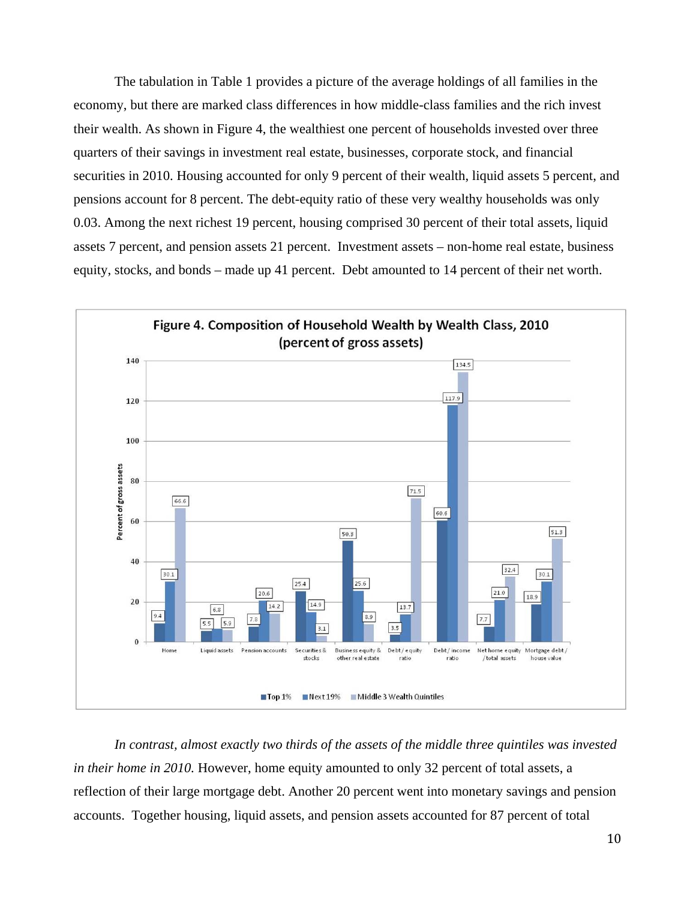The tabulation in Table 1 provides a picture of the average holdings of all families in the economy, but there are marked class differences in how middle-class families and the rich invest their wealth. As shown in Figure 4, the wealthiest one percent of households invested over three quarters of their savings in investment real estate, businesses, corporate stock, and financial securities in 2010. Housing accounted for only 9 percent of their wealth, liquid assets 5 percent, and pensions account for 8 percent. The debt-equity ratio of these very wealthy households was only 0.03. Among the next richest 19 percent, housing comprised 30 percent of their total assets, liquid assets 7 percent, and pension assets 21 percent. Investment assets – non-home real estate, business equity, stocks, and bonds – made up 41 percent. Debt amounted to 14 percent of their net worth.



 *In contrast, almost exactly two thirds of the assets of the middle three quintiles was invested in their home in 2010.* However, home equity amounted to only 32 percent of total assets, a reflection of their large mortgage debt. Another 20 percent went into monetary savings and pension accounts. Together housing, liquid assets, and pension assets accounted for 87 percent of total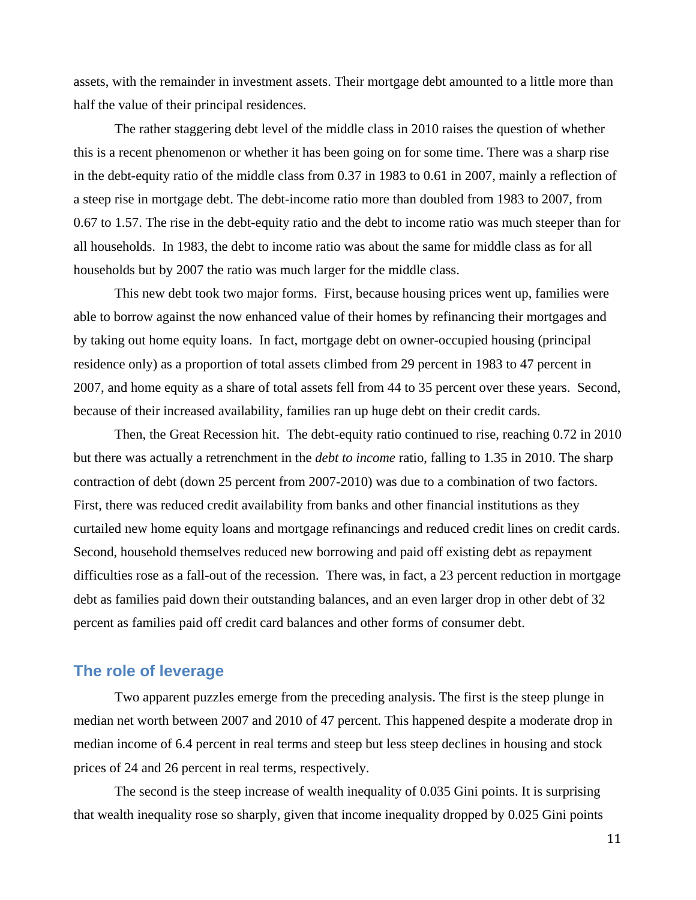assets, with the remainder in investment assets. Their mortgage debt amounted to a little more than half the value of their principal residences.

 The rather staggering debt level of the middle class in 2010 raises the question of whether this is a recent phenomenon or whether it has been going on for some time. There was a sharp rise in the debt-equity ratio of the middle class from 0.37 in 1983 to 0.61 in 2007, mainly a reflection of a steep rise in mortgage debt. The debt-income ratio more than doubled from 1983 to 2007, from 0.67 to 1.57. The rise in the debt-equity ratio and the debt to income ratio was much steeper than for all households. In 1983, the debt to income ratio was about the same for middle class as for all households but by 2007 the ratio was much larger for the middle class.

This new debt took two major forms. First, because housing prices went up, families were able to borrow against the now enhanced value of their homes by refinancing their mortgages and by taking out home equity loans. In fact, mortgage debt on owner-occupied housing (principal residence only) as a proportion of total assets climbed from 29 percent in 1983 to 47 percent in 2007, and home equity as a share of total assets fell from 44 to 35 percent over these years. Second, because of their increased availability, families ran up huge debt on their credit cards.

Then, the Great Recession hit. The debt-equity ratio continued to rise, reaching 0.72 in 2010 but there was actually a retrenchment in the *debt to income* ratio, falling to 1.35 in 2010. The sharp contraction of debt (down 25 percent from 2007-2010) was due to a combination of two factors. First, there was reduced credit availability from banks and other financial institutions as they curtailed new home equity loans and mortgage refinancings and reduced credit lines on credit cards. Second, household themselves reduced new borrowing and paid off existing debt as repayment difficulties rose as a fall-out of the recession. There was, in fact, a 23 percent reduction in mortgage debt as families paid down their outstanding balances, and an even larger drop in other debt of 32 percent as families paid off credit card balances and other forms of consumer debt.

### **The role of leverage**

Two apparent puzzles emerge from the preceding analysis. The first is the steep plunge in median net worth between 2007 and 2010 of 47 percent. This happened despite a moderate drop in median income of 6.4 percent in real terms and steep but less steep declines in housing and stock prices of 24 and 26 percent in real terms, respectively.

The second is the steep increase of wealth inequality of 0.035 Gini points. It is surprising that wealth inequality rose so sharply, given that income inequality dropped by 0.025 Gini points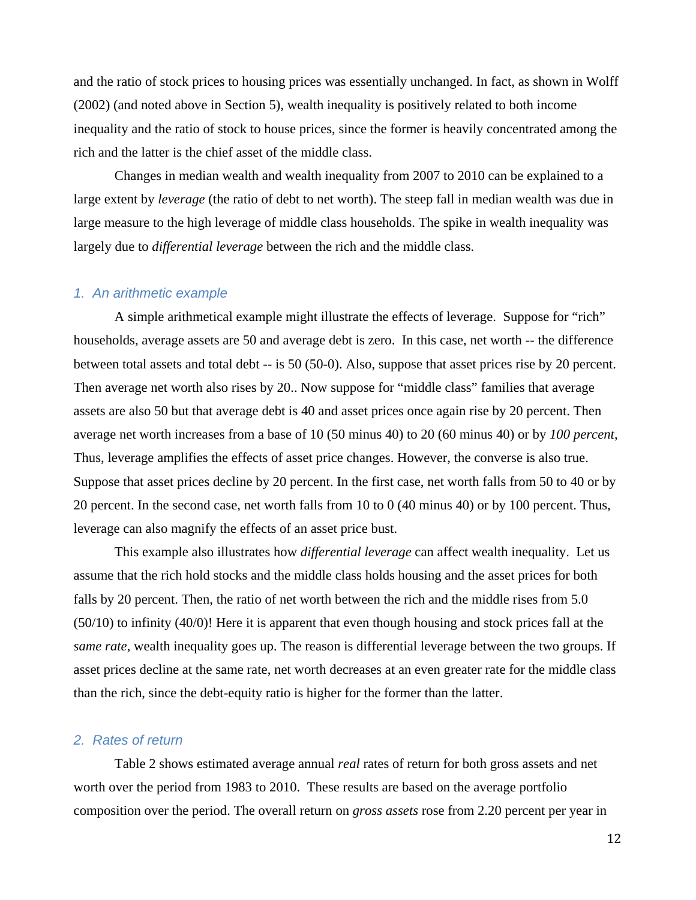and the ratio of stock prices to housing prices was essentially unchanged. In fact, as shown in Wolff (2002) (and noted above in Section 5), wealth inequality is positively related to both income inequality and the ratio of stock to house prices, since the former is heavily concentrated among the rich and the latter is the chief asset of the middle class.

 Changes in median wealth and wealth inequality from 2007 to 2010 can be explained to a large extent by *leverage* (the ratio of debt to net worth). The steep fall in median wealth was due in large measure to the high leverage of middle class households. The spike in wealth inequality was largely due to *differential leverage* between the rich and the middle class.

#### *1. An arithmetic example*

A simple arithmetical example might illustrate the effects of leverage. Suppose for "rich" households, average assets are 50 and average debt is zero. In this case, net worth -- the difference between total assets and total debt -- is 50 (50-0). Also, suppose that asset prices rise by 20 percent. Then average net worth also rises by 20.. Now suppose for "middle class" families that average assets are also 50 but that average debt is 40 and asset prices once again rise by 20 percent. Then average net worth increases from a base of 10 (50 minus 40) to 20 (60 minus 40) or by *100 percent*, Thus, leverage amplifies the effects of asset price changes. However, the converse is also true. Suppose that asset prices decline by 20 percent. In the first case, net worth falls from 50 to 40 or by 20 percent. In the second case, net worth falls from 10 to 0 (40 minus 40) or by 100 percent. Thus, leverage can also magnify the effects of an asset price bust.

This example also illustrates how *differential leverage* can affect wealth inequality. Let us assume that the rich hold stocks and the middle class holds housing and the asset prices for both falls by 20 percent. Then, the ratio of net worth between the rich and the middle rises from 5.0 (50/10) to infinity (40/0)! Here it is apparent that even though housing and stock prices fall at the *same rate*, wealth inequality goes up. The reason is differential leverage between the two groups. If asset prices decline at the same rate, net worth decreases at an even greater rate for the middle class than the rich, since the debt-equity ratio is higher for the former than the latter.

#### *2. Rates of return*

Table 2 shows estimated average annual *real* rates of return for both gross assets and net worth over the period from 1983 to 2010. These results are based on the average portfolio composition over the period. The overall return on *gross assets* rose from 2.20 percent per year in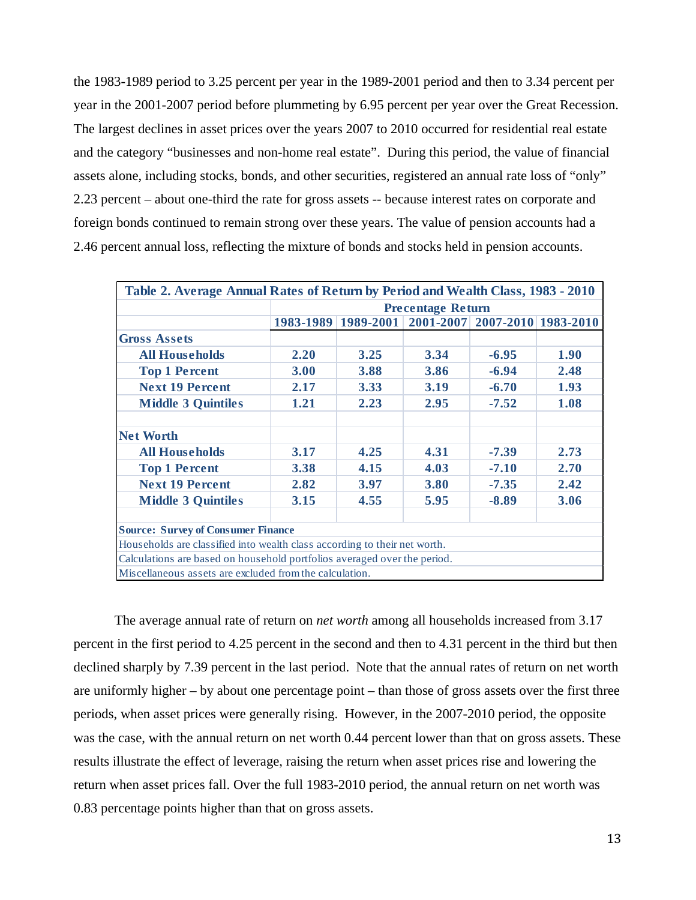the 1983-1989 period to 3.25 percent per year in the 1989-2001 period and then to 3.34 percent per year in the 2001-2007 period before plummeting by 6.95 percent per year over the Great Recession. The largest declines in asset prices over the years 2007 to 2010 occurred for residential real estate and the category "businesses and non-home real estate". During this period, the value of financial assets alone, including stocks, bonds, and other securities, registered an annual rate loss of "only" 2.23 percent – about one-third the rate for gross assets -- because interest rates on corporate and foreign bonds continued to remain strong over these years. The value of pension accounts had a 2.46 percent annual loss, reflecting the mixture of bonds and stocks held in pension accounts.

| Table 2. Average Annual Rates of Return by Period and Wealth Class, 1983 - 2010 |                          |      |                                                   |         |      |  |  |
|---------------------------------------------------------------------------------|--------------------------|------|---------------------------------------------------|---------|------|--|--|
|                                                                                 | <b>Precentage Return</b> |      |                                                   |         |      |  |  |
|                                                                                 |                          |      | 1983-1989 1989-2001 2001-2007 2007-2010 1983-2010 |         |      |  |  |
| <b>Gross Assets</b>                                                             |                          |      |                                                   |         |      |  |  |
| <b>All Households</b>                                                           | 2.20                     | 3.25 | 3.34                                              | $-6.95$ | 1.90 |  |  |
| <b>Top 1 Percent</b>                                                            | 3.00                     | 3.88 | 3.86                                              | $-6.94$ | 2.48 |  |  |
| <b>Next 19 Percent</b>                                                          | 2.17                     | 3.33 | 3.19                                              | $-6.70$ | 1.93 |  |  |
| <b>Middle 3 Quintiles</b>                                                       | 1.21                     | 2.23 | 2.95                                              | $-7.52$ | 1.08 |  |  |
| <b>Net Worth</b>                                                                |                          |      |                                                   |         |      |  |  |
| <b>All Households</b>                                                           | 3.17                     | 4.25 | 4.31                                              | $-7.39$ | 2.73 |  |  |
| <b>Top 1 Percent</b>                                                            | 3.38                     | 4.15 | 4.03                                              | $-7.10$ | 2.70 |  |  |
| <b>Next 19 Percent</b>                                                          | 2.82                     | 3.97 | 3.80                                              | $-7.35$ | 2.42 |  |  |
| <b>Middle 3 Quintiles</b>                                                       | 3.15                     | 4.55 | 5.95                                              | $-8.89$ | 3.06 |  |  |
| <b>Source: Survey of Consumer Finance</b>                                       |                          |      |                                                   |         |      |  |  |
| Households are classified into wealth class according to their net worth.       |                          |      |                                                   |         |      |  |  |
| Calculations are based on household portfolios averaged over the period.        |                          |      |                                                   |         |      |  |  |
| Miscellaneous assets are excluded from the calculation.                         |                          |      |                                                   |         |      |  |  |

The average annual rate of return on *net worth* among all households increased from 3.17 percent in the first period to 4.25 percent in the second and then to 4.31 percent in the third but then declined sharply by 7.39 percent in the last period. Note that the annual rates of return on net worth are uniformly higher – by about one percentage point – than those of gross assets over the first three periods, when asset prices were generally rising. However, in the 2007-2010 period, the opposite was the case, with the annual return on net worth 0.44 percent lower than that on gross assets. These results illustrate the effect of leverage, raising the return when asset prices rise and lowering the return when asset prices fall. Over the full 1983-2010 period, the annual return on net worth was 0.83 percentage points higher than that on gross assets.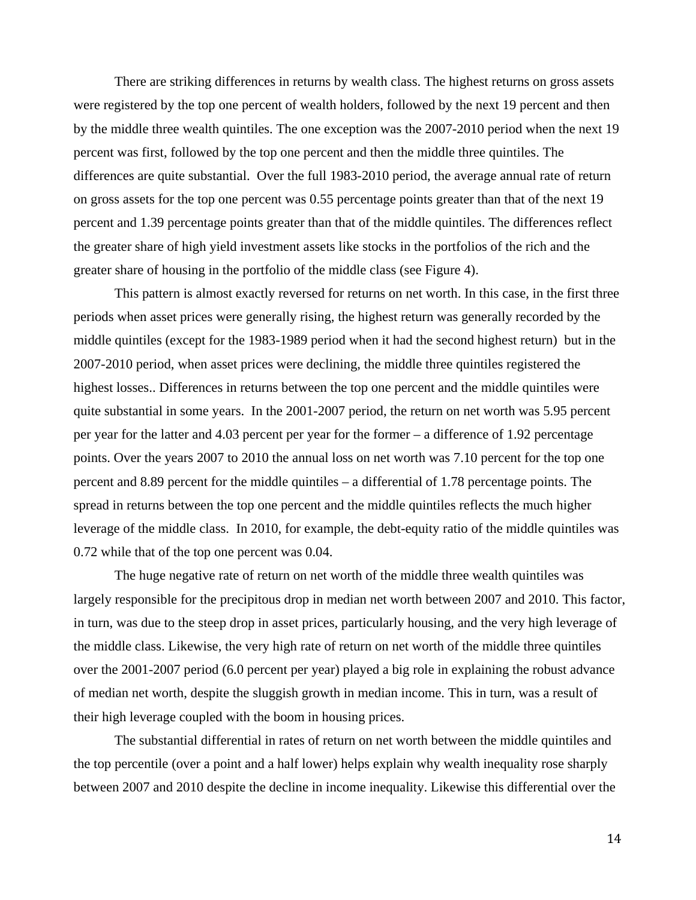There are striking differences in returns by wealth class. The highest returns on gross assets were registered by the top one percent of wealth holders, followed by the next 19 percent and then by the middle three wealth quintiles. The one exception was the 2007-2010 period when the next 19 percent was first, followed by the top one percent and then the middle three quintiles. The differences are quite substantial. Over the full 1983-2010 period, the average annual rate of return on gross assets for the top one percent was 0.55 percentage points greater than that of the next 19 percent and 1.39 percentage points greater than that of the middle quintiles. The differences reflect the greater share of high yield investment assets like stocks in the portfolios of the rich and the greater share of housing in the portfolio of the middle class (see Figure 4).

This pattern is almost exactly reversed for returns on net worth. In this case, in the first three periods when asset prices were generally rising, the highest return was generally recorded by the middle quintiles (except for the 1983-1989 period when it had the second highest return) but in the 2007-2010 period, when asset prices were declining, the middle three quintiles registered the highest losses.. Differences in returns between the top one percent and the middle quintiles were quite substantial in some years. In the 2001-2007 period, the return on net worth was 5.95 percent per year for the latter and 4.03 percent per year for the former – a difference of 1.92 percentage points. Over the years 2007 to 2010 the annual loss on net worth was 7.10 percent for the top one percent and 8.89 percent for the middle quintiles – a differential of 1.78 percentage points. The spread in returns between the top one percent and the middle quintiles reflects the much higher leverage of the middle class. In 2010, for example, the debt-equity ratio of the middle quintiles was 0.72 while that of the top one percent was 0.04.

The huge negative rate of return on net worth of the middle three wealth quintiles was largely responsible for the precipitous drop in median net worth between 2007 and 2010. This factor, in turn, was due to the steep drop in asset prices, particularly housing, and the very high leverage of the middle class. Likewise, the very high rate of return on net worth of the middle three quintiles over the 2001-2007 period (6.0 percent per year) played a big role in explaining the robust advance of median net worth, despite the sluggish growth in median income. This in turn, was a result of their high leverage coupled with the boom in housing prices.

The substantial differential in rates of return on net worth between the middle quintiles and the top percentile (over a point and a half lower) helps explain why wealth inequality rose sharply between 2007 and 2010 despite the decline in income inequality. Likewise this differential over the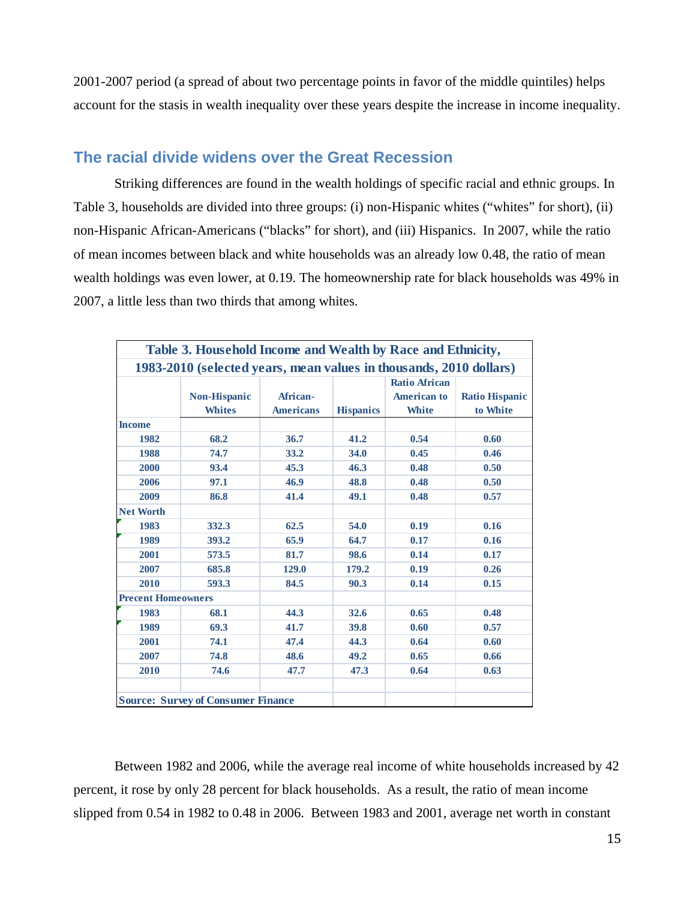2001-2007 period (a spread of about two percentage points in favor of the middle quintiles) helps account for the stasis in wealth inequality over these years despite the increase in income inequality.

# **The racial divide widens over the Great Recession**

 Striking differences are found in the wealth holdings of specific racial and ethnic groups. In Table 3, households are divided into three groups: (i) non-Hispanic whites ("whites" for short), (ii) non-Hispanic African-Americans ("blacks" for short), and (iii) Hispanics. In 2007, while the ratio of mean incomes between black and white households was an already low 0.48, the ratio of mean wealth holdings was even lower, at 0.19. The homeownership rate for black households was 49% in 2007, a little less than two thirds that among whites.

|                                                                    | Table 3. Household Income and Wealth by Race and Ethnicity, |                  |                  |                      |                       |  |  |
|--------------------------------------------------------------------|-------------------------------------------------------------|------------------|------------------|----------------------|-----------------------|--|--|
| 1983-2010 (selected years, mean values in thousands, 2010 dollars) |                                                             |                  |                  |                      |                       |  |  |
|                                                                    |                                                             |                  |                  | <b>Ratio African</b> |                       |  |  |
|                                                                    | <b>Non-Hispanic</b>                                         | African-         |                  | <b>American to</b>   | <b>Ratio Hispanic</b> |  |  |
|                                                                    | <b>Whites</b>                                               | <b>Americans</b> | <b>Hispanics</b> | <b>White</b>         | to White              |  |  |
| <b>Income</b>                                                      |                                                             |                  |                  |                      |                       |  |  |
| 1982                                                               | 68.2                                                        | 36.7             | 41.2             | 0.54                 | 0.60                  |  |  |
| 1988                                                               | 74.7                                                        | 33.2             | 34.0             | 0.45                 | 0.46                  |  |  |
| 2000                                                               | 93.4                                                        | 45.3             | 46.3             | 0.48                 | 0.50                  |  |  |
| 2006                                                               | 97.1                                                        | 46.9             | 48.8             | 0.48                 | 0.50                  |  |  |
| 2009                                                               | 86.8                                                        | 41.4             | 49.1             | 0.48                 | 0.57                  |  |  |
| <b>Net Worth</b>                                                   |                                                             |                  |                  |                      |                       |  |  |
| 1983                                                               | 332.3                                                       | 62.5             | 54.0             | 0.19                 | 0.16                  |  |  |
| 1989                                                               | 393.2                                                       | 65.9             | 64.7             | 0.17                 | 0.16                  |  |  |
| 2001                                                               | 573.5                                                       | 81.7             | 98.6             | 0.14                 | 0.17                  |  |  |
| 2007                                                               | 685.8                                                       | 129.0            | 179.2            | 0.19                 | 0.26                  |  |  |
| 2010                                                               | 593.3                                                       | 84.5             | 90.3             | 0.14                 | 0.15                  |  |  |
| <b>Precent Homeowners</b>                                          |                                                             |                  |                  |                      |                       |  |  |
| 1983                                                               | 68.1                                                        | 44.3             | 32.6             | 0.65                 | 0.48                  |  |  |
| 1989                                                               | 69.3                                                        | 41.7             | 39.8             | 0.60                 | 0.57                  |  |  |
| 2001                                                               | 74.1                                                        | 47.4             | 44.3             | 0.64                 | 0.60                  |  |  |
| 2007                                                               | 74.8                                                        | 48.6             | 49.2             | 0.65                 | 0.66                  |  |  |
| 2010                                                               | 74.6                                                        | 47.7             | 47.3             | 0.64                 | 0.63                  |  |  |
|                                                                    |                                                             |                  |                  |                      |                       |  |  |
|                                                                    | <b>Source: Survey of Consumer Finance</b>                   |                  |                  |                      |                       |  |  |

 Between 1982 and 2006, while the average real income of white households increased by 42 percent, it rose by only 28 percent for black households. As a result, the ratio of mean income slipped from 0.54 in 1982 to 0.48 in 2006. Between 1983 and 2001, average net worth in constant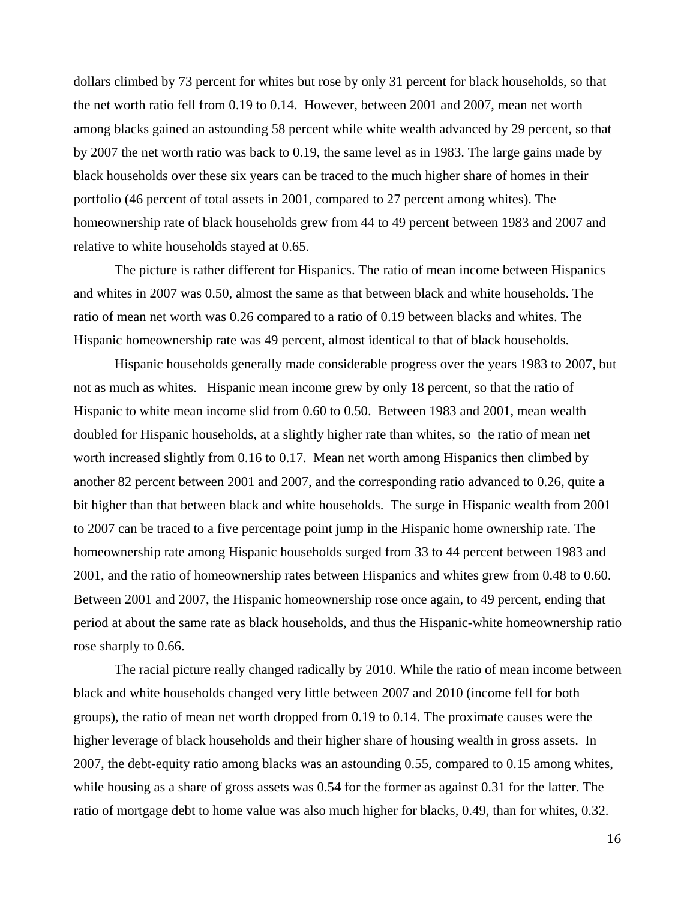dollars climbed by 73 percent for whites but rose by only 31 percent for black households, so that the net worth ratio fell from 0.19 to 0.14. However, between 2001 and 2007, mean net worth among blacks gained an astounding 58 percent while white wealth advanced by 29 percent, so that by 2007 the net worth ratio was back to 0.19, the same level as in 1983. The large gains made by black households over these six years can be traced to the much higher share of homes in their portfolio (46 percent of total assets in 2001, compared to 27 percent among whites). The homeownership rate of black households grew from 44 to 49 percent between 1983 and 2007 and relative to white households stayed at 0.65.

 The picture is rather different for Hispanics. The ratio of mean income between Hispanics and whites in 2007 was 0.50, almost the same as that between black and white households. The ratio of mean net worth was 0.26 compared to a ratio of 0.19 between blacks and whites. The Hispanic homeownership rate was 49 percent, almost identical to that of black households.

 Hispanic households generally made considerable progress over the years 1983 to 2007, but not as much as whites. Hispanic mean income grew by only 18 percent, so that the ratio of Hispanic to white mean income slid from 0.60 to 0.50. Between 1983 and 2001, mean wealth doubled for Hispanic households, at a slightly higher rate than whites, so the ratio of mean net worth increased slightly from 0.16 to 0.17. Mean net worth among Hispanics then climbed by another 82 percent between 2001 and 2007, and the corresponding ratio advanced to 0.26, quite a bit higher than that between black and white households. The surge in Hispanic wealth from 2001 to 2007 can be traced to a five percentage point jump in the Hispanic home ownership rate. The homeownership rate among Hispanic households surged from 33 to 44 percent between 1983 and 2001, and the ratio of homeownership rates between Hispanics and whites grew from 0.48 to 0.60. Between 2001 and 2007, the Hispanic homeownership rose once again, to 49 percent, ending that period at about the same rate as black households, and thus the Hispanic-white homeownership ratio rose sharply to 0.66.

 The racial picture really changed radically by 2010. While the ratio of mean income between black and white households changed very little between 2007 and 2010 (income fell for both groups), the ratio of mean net worth dropped from 0.19 to 0.14. The proximate causes were the higher leverage of black households and their higher share of housing wealth in gross assets. In 2007, the debt-equity ratio among blacks was an astounding 0.55, compared to 0.15 among whites, while housing as a share of gross assets was 0.54 for the former as against 0.31 for the latter. The ratio of mortgage debt to home value was also much higher for blacks, 0.49, than for whites, 0.32.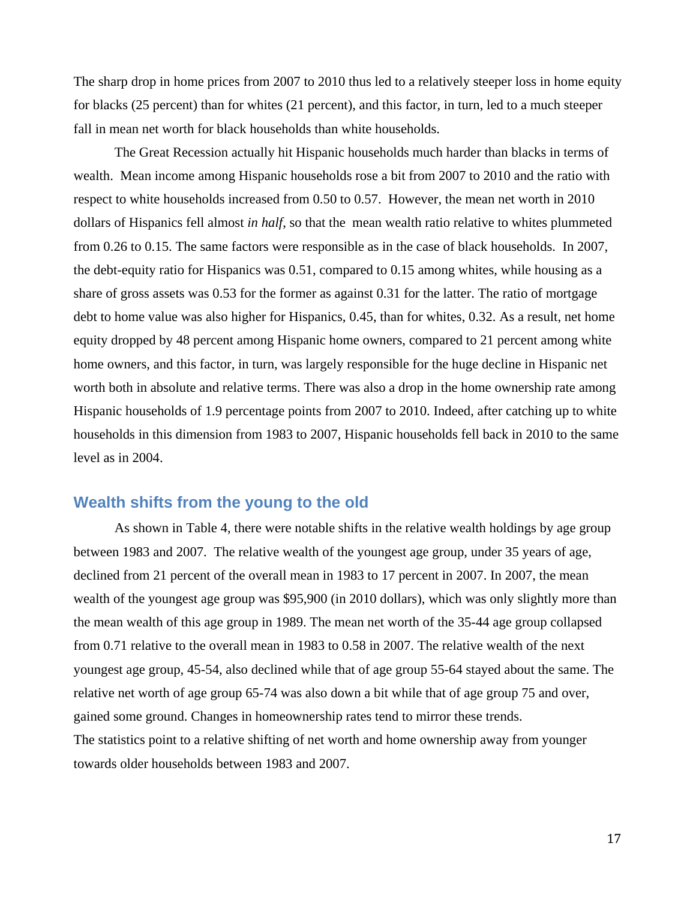The sharp drop in home prices from 2007 to 2010 thus led to a relatively steeper loss in home equity for blacks (25 percent) than for whites (21 percent), and this factor, in turn, led to a much steeper fall in mean net worth for black households than white households.

 The Great Recession actually hit Hispanic households much harder than blacks in terms of wealth. Mean income among Hispanic households rose a bit from 2007 to 2010 and the ratio with respect to white households increased from 0.50 to 0.57. However, the mean net worth in 2010 dollars of Hispanics fell almost *in half*, so that the mean wealth ratio relative to whites plummeted from 0.26 to 0.15. The same factors were responsible as in the case of black households. In 2007, the debt-equity ratio for Hispanics was 0.51, compared to 0.15 among whites, while housing as a share of gross assets was 0.53 for the former as against 0.31 for the latter. The ratio of mortgage debt to home value was also higher for Hispanics, 0.45, than for whites, 0.32. As a result, net home equity dropped by 48 percent among Hispanic home owners, compared to 21 percent among white home owners, and this factor, in turn, was largely responsible for the huge decline in Hispanic net worth both in absolute and relative terms. There was also a drop in the home ownership rate among Hispanic households of 1.9 percentage points from 2007 to 2010. Indeed, after catching up to white households in this dimension from 1983 to 2007, Hispanic households fell back in 2010 to the same level as in 2004.

## **Wealth shifts from the young to the old**

 As shown in Table 4, there were notable shifts in the relative wealth holdings by age group between 1983 and 2007. The relative wealth of the youngest age group, under 35 years of age, declined from 21 percent of the overall mean in 1983 to 17 percent in 2007. In 2007, the mean wealth of the youngest age group was \$95,900 (in 2010 dollars), which was only slightly more than the mean wealth of this age group in 1989. The mean net worth of the 35-44 age group collapsed from 0.71 relative to the overall mean in 1983 to 0.58 in 2007. The relative wealth of the next youngest age group, 45-54, also declined while that of age group 55-64 stayed about the same. The relative net worth of age group 65-74 was also down a bit while that of age group 75 and over, gained some ground. Changes in homeownership rates tend to mirror these trends. The statistics point to a relative shifting of net worth and home ownership away from younger towards older households between 1983 and 2007.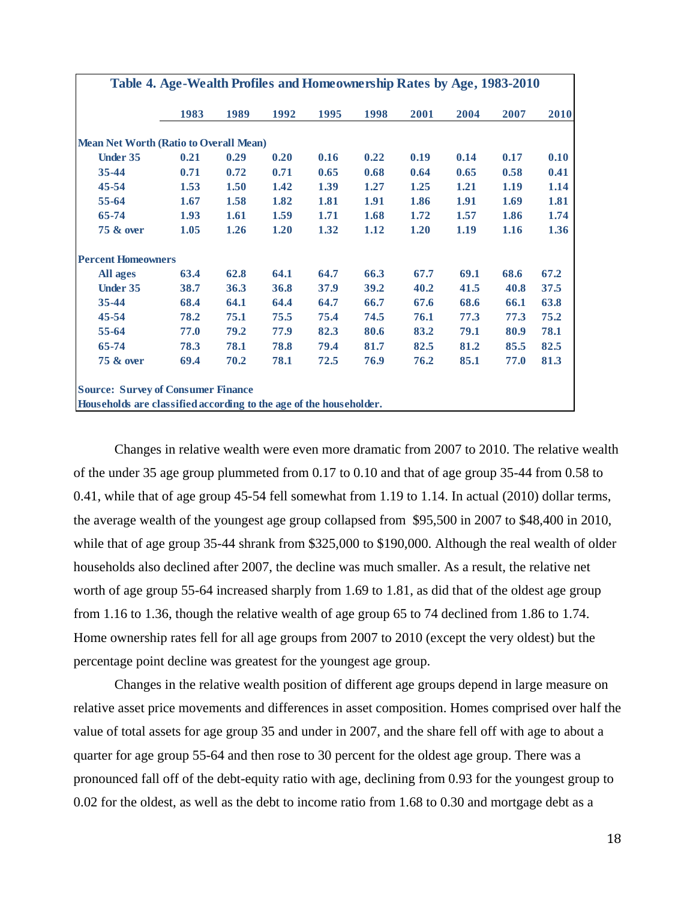|                                               | 1983 | 1989 | 1992 | 1995 | 1998 | 2001 | 2004 | 2007 | 2010 |
|-----------------------------------------------|------|------|------|------|------|------|------|------|------|
| <b>Mean Net Worth (Ratio to Overall Mean)</b> |      |      |      |      |      |      |      |      |      |
| <b>Under 35</b>                               | 0.21 | 0.29 | 0.20 | 0.16 | 0.22 | 0.19 | 0.14 | 0.17 | 0.10 |
| 35-44                                         | 0.71 | 0.72 | 0.71 | 0.65 | 0.68 | 0.64 | 0.65 | 0.58 | 0.41 |
| $45 - 54$                                     | 1.53 | 1.50 | 1.42 | 1.39 | 1.27 | 1.25 | 1.21 | 1.19 | 1.14 |
| $55 - 64$                                     | 1.67 | 1.58 | 1.82 | 1.81 | 1.91 | 1.86 | 1.91 | 1.69 | 1.81 |
| 65-74                                         | 1.93 | 1.61 | 1.59 | 1.71 | 1.68 | 1.72 | 1.57 | 1.86 | 1.74 |
| <b>75 &amp; over</b>                          | 1.05 | 1.26 | 1.20 | 1.32 | 1.12 | 1.20 | 1.19 | 1.16 | 1.36 |
| <b>Percent Homeowners</b>                     |      |      |      |      |      |      |      |      |      |
| All ages                                      | 63.4 | 62.8 | 64.1 | 64.7 | 66.3 | 67.7 | 69.1 | 68.6 | 67.2 |
| <b>Under 35</b>                               | 38.7 | 36.3 | 36.8 | 37.9 | 39.2 | 40.2 | 41.5 | 40.8 | 37.5 |
| 35-44                                         | 68.4 | 64.1 | 64.4 | 64.7 | 66.7 | 67.6 | 68.6 | 66.1 | 63.8 |
| 45-54                                         | 78.2 | 75.1 | 75.5 | 75.4 | 74.5 | 76.1 | 77.3 | 77.3 | 75.2 |
| 55-64                                         | 77.0 | 79.2 | 77.9 | 82.3 | 80.6 | 83.2 | 79.1 | 80.9 | 78.1 |
| 65-74                                         | 78.3 | 78.1 | 78.8 | 79.4 | 81.7 | 82.5 | 81.2 | 85.5 | 82.5 |
| <b>75 &amp; over</b>                          | 69.4 | 70.2 | 78.1 | 72.5 | 76.9 | 76.2 | 85.1 | 77.0 | 81.3 |

Changes in relative wealth were even more dramatic from 2007 to 2010. The relative wealth of the under 35 age group plummeted from 0.17 to 0.10 and that of age group 35-44 from 0.58 to 0.41, while that of age group 45-54 fell somewhat from 1.19 to 1.14. In actual (2010) dollar terms, the average wealth of the youngest age group collapsed from \$95,500 in 2007 to \$48,400 in 2010, while that of age group 35-44 shrank from \$325,000 to \$190,000. Although the real wealth of older households also declined after 2007, the decline was much smaller. As a result, the relative net worth of age group 55-64 increased sharply from 1.69 to 1.81, as did that of the oldest age group from 1.16 to 1.36, though the relative wealth of age group 65 to 74 declined from 1.86 to 1.74. Home ownership rates fell for all age groups from 2007 to 2010 (except the very oldest) but the percentage point decline was greatest for the youngest age group.

 Changes in the relative wealth position of different age groups depend in large measure on relative asset price movements and differences in asset composition. Homes comprised over half the value of total assets for age group 35 and under in 2007, and the share fell off with age to about a quarter for age group 55-64 and then rose to 30 percent for the oldest age group. There was a pronounced fall off of the debt-equity ratio with age, declining from 0.93 for the youngest group to 0.02 for the oldest, as well as the debt to income ratio from 1.68 to 0.30 and mortgage debt as a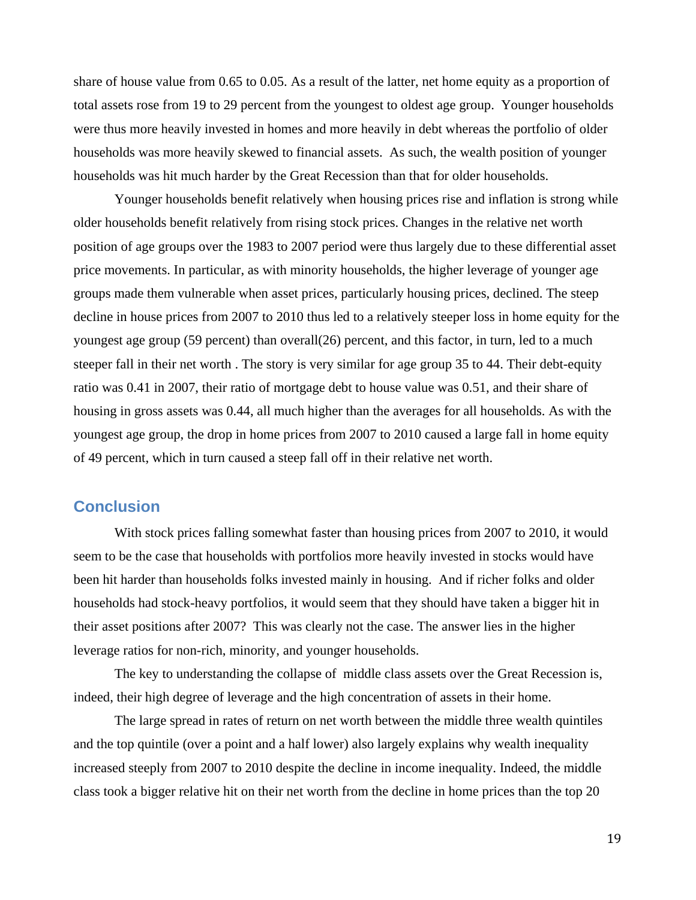share of house value from 0.65 to 0.05. As a result of the latter, net home equity as a proportion of total assets rose from 19 to 29 percent from the youngest to oldest age group. Younger households were thus more heavily invested in homes and more heavily in debt whereas the portfolio of older households was more heavily skewed to financial assets. As such, the wealth position of younger households was hit much harder by the Great Recession than that for older households.

Younger households benefit relatively when housing prices rise and inflation is strong while older households benefit relatively from rising stock prices. Changes in the relative net worth position of age groups over the 1983 to 2007 period were thus largely due to these differential asset price movements. In particular, as with minority households, the higher leverage of younger age groups made them vulnerable when asset prices, particularly housing prices, declined. The steep decline in house prices from 2007 to 2010 thus led to a relatively steeper loss in home equity for the youngest age group (59 percent) than overall(26) percent, and this factor, in turn, led to a much steeper fall in their net worth . The story is very similar for age group 35 to 44. Their debt-equity ratio was 0.41 in 2007, their ratio of mortgage debt to house value was 0.51, and their share of housing in gross assets was 0.44, all much higher than the averages for all households. As with the youngest age group, the drop in home prices from 2007 to 2010 caused a large fall in home equity of 49 percent, which in turn caused a steep fall off in their relative net worth.

#### **Conclusion**

With stock prices falling somewhat faster than housing prices from 2007 to 2010, it would seem to be the case that households with portfolios more heavily invested in stocks would have been hit harder than households folks invested mainly in housing. And if richer folks and older households had stock-heavy portfolios, it would seem that they should have taken a bigger hit in their asset positions after 2007? This was clearly not the case. The answer lies in the higher leverage ratios for non-rich, minority, and younger households.

The key to understanding the collapse of middle class assets over the Great Recession is, indeed, their high degree of leverage and the high concentration of assets in their home.

The large spread in rates of return on net worth between the middle three wealth quintiles and the top quintile (over a point and a half lower) also largely explains why wealth inequality increased steeply from 2007 to 2010 despite the decline in income inequality. Indeed, the middle class took a bigger relative hit on their net worth from the decline in home prices than the top 20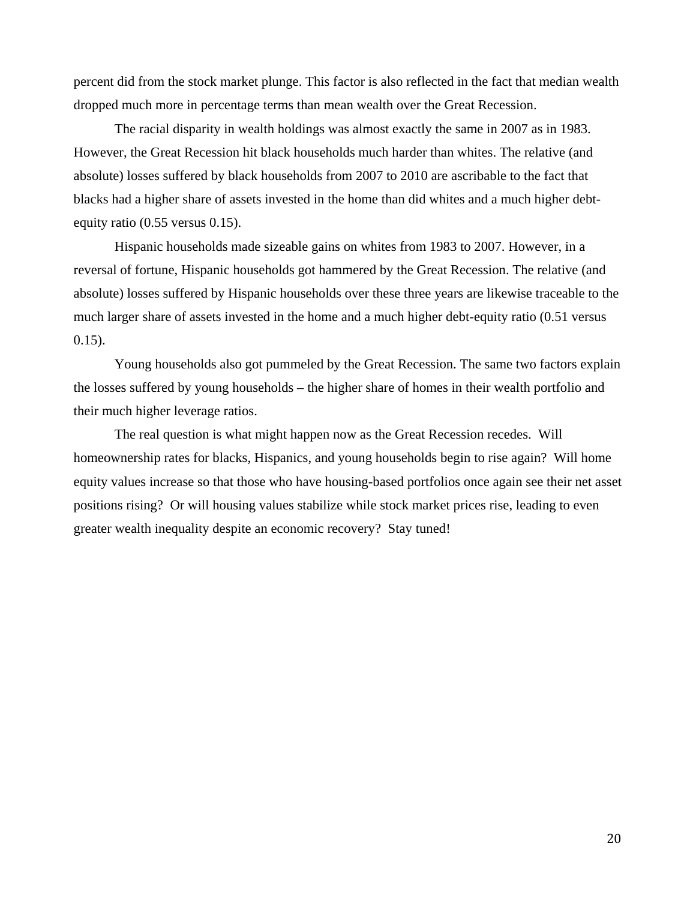percent did from the stock market plunge. This factor is also reflected in the fact that median wealth dropped much more in percentage terms than mean wealth over the Great Recession.

The racial disparity in wealth holdings was almost exactly the same in 2007 as in 1983. However, the Great Recession hit black households much harder than whites. The relative (and absolute) losses suffered by black households from 2007 to 2010 are ascribable to the fact that blacks had a higher share of assets invested in the home than did whites and a much higher debtequity ratio (0.55 versus 0.15).

Hispanic households made sizeable gains on whites from 1983 to 2007. However, in a reversal of fortune, Hispanic households got hammered by the Great Recession. The relative (and absolute) losses suffered by Hispanic households over these three years are likewise traceable to the much larger share of assets invested in the home and a much higher debt-equity ratio (0.51 versus 0.15).

 Young households also got pummeled by the Great Recession. The same two factors explain the losses suffered by young households – the higher share of homes in their wealth portfolio and their much higher leverage ratios.

 The real question is what might happen now as the Great Recession recedes. Will homeownership rates for blacks, Hispanics, and young households begin to rise again? Will home equity values increase so that those who have housing-based portfolios once again see their net asset positions rising? Or will housing values stabilize while stock market prices rise, leading to even greater wealth inequality despite an economic recovery? Stay tuned!